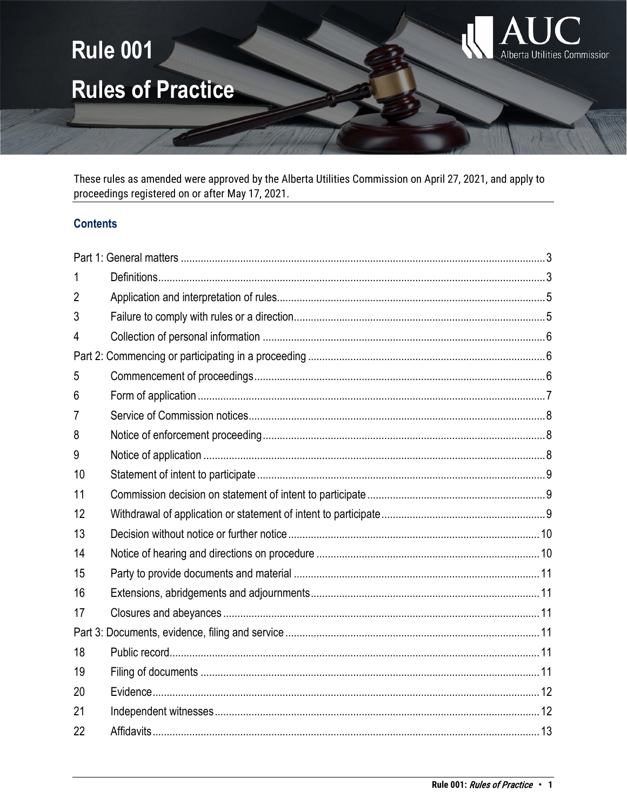

These rules as amended were approved by the Alberta Utilities Commission on April 27, 2021, and apply to proceedings registered on or after May 17, 2021.

## **Contents**

| 1  |  |  |
|----|--|--|
| 2  |  |  |
| 3  |  |  |
| 4  |  |  |
|    |  |  |
| 5  |  |  |
| 6  |  |  |
| 7  |  |  |
| 8  |  |  |
| 9  |  |  |
| 10 |  |  |
| 11 |  |  |
| 12 |  |  |
| 13 |  |  |
| 14 |  |  |
| 15 |  |  |
| 16 |  |  |
| 17 |  |  |
|    |  |  |
| 18 |  |  |
| 19 |  |  |
| 20 |  |  |
| 21 |  |  |
| 22 |  |  |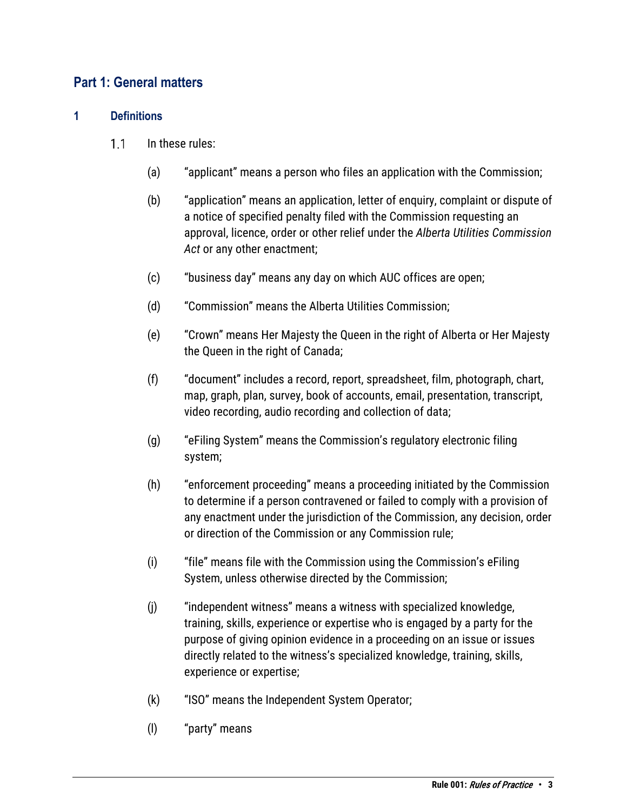## <span id="page-2-0"></span>**Part 1: General matters**

## <span id="page-2-1"></span>**1 Definitions**

- $1.1$ In these rules:
	- (a) "applicant" means a person who files an application with the Commission;
	- (b) "application" means an application, letter of enquiry, complaint or dispute of a notice of specified penalty filed with the Commission requesting an approval, licence, order or other relief under the *Alberta Utilities Commission Act* or any other enactment;
	- (c) "business day" means any day on which AUC offices are open;
	- (d) "Commission" means the Alberta Utilities Commission;
	- (e) "Crown" means Her Majesty the Queen in the right of Alberta or Her Majesty the Queen in the right of Canada;
	- (f) "document" includes a record, report, spreadsheet, film, photograph, chart, map, graph, plan, survey, book of accounts, email, presentation, transcript, video recording, audio recording and collection of data;
	- (g) "eFiling System" means the Commission's regulatory electronic filing system;
	- (h) "enforcement proceeding" means a proceeding initiated by the Commission to determine if a person contravened or failed to comply with a provision of any enactment under the jurisdiction of the Commission, any decision, order or direction of the Commission or any Commission rule;
	- (i) "file" means file with the Commission using the Commission's eFiling System, unless otherwise directed by the Commission;
	- (j) "independent witness" means a witness with specialized knowledge, training, skills, experience or expertise who is engaged by a party for the purpose of giving opinion evidence in a proceeding on an issue or issues directly related to the witness's specialized knowledge, training, skills, experience or expertise;
	- (k) "ISO" means the Independent System Operator;
	- (l) "party" means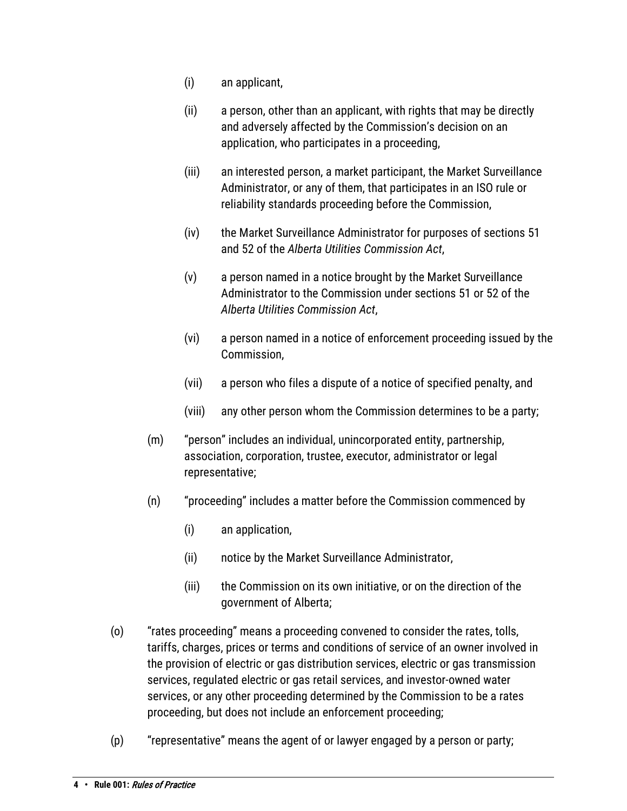- (i) an applicant,
- (ii) a person, other than an applicant, with rights that may be directly and adversely affected by the Commission's decision on an application, who participates in a proceeding,
- (iii) an interested person, a market participant, the Market Surveillance Administrator, or any of them, that participates in an ISO rule or reliability standards proceeding before the Commission,
- (iv) the Market Surveillance Administrator for purposes of sections 51 and 52 of the *Alberta Utilities Commission Act*,
- (v) a person named in a notice brought by the Market Surveillance Administrator to the Commission under sections 51 or 52 of the *Alberta Utilities Commission Act*,
- (vi) a person named in a notice of enforcement proceeding issued by the Commission,
- (vii) a person who files a dispute of a notice of specified penalty, and
- (viii) any other person whom the Commission determines to be a party;
- (m) "person" includes an individual, unincorporated entity, partnership, association, corporation, trustee, executor, administrator or legal representative;
- (n) "proceeding" includes a matter before the Commission commenced by
	- (i) an application,
	- (ii) notice by the Market Surveillance Administrator,
	- (iii) the Commission on its own initiative, or on the direction of the government of Alberta;
- (o) "rates proceeding" means a proceeding convened to consider the rates, tolls, tariffs, charges, prices or terms and conditions of service of an owner involved in the provision of electric or gas distribution services, electric or gas transmission services, regulated electric or gas retail services, and investor-owned water services, or any other proceeding determined by the Commission to be a rates proceeding, but does not include an enforcement proceeding;
- (p) "representative" means the agent of or lawyer engaged by a person or party;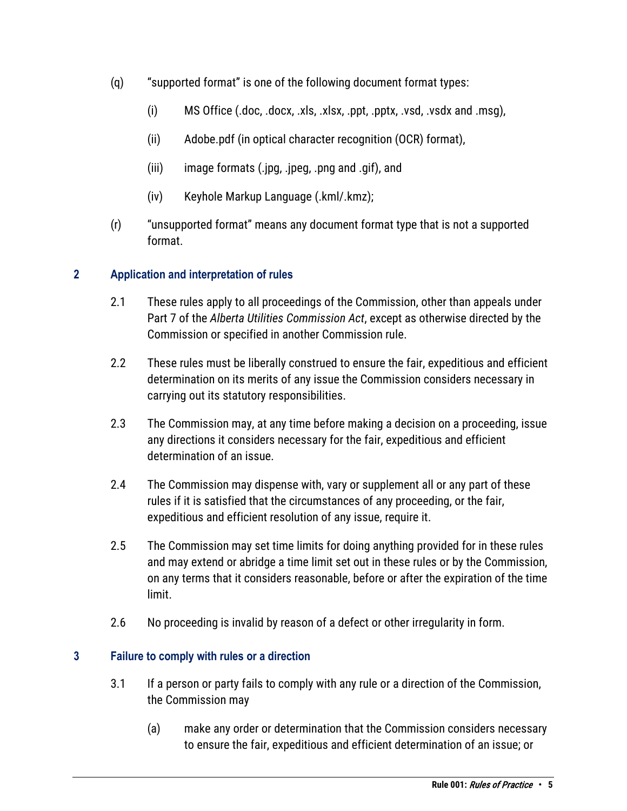- (q) "supported format" is one of the following document format types:
	- (i) MS Office (.doc, .docx, .xls, .xlsx, .ppt, .pptx, .vsd, .vsdx and .msg),
	- (ii) Adobe.pdf (in optical character recognition (OCR) format),
	- (iii) image formats (.jpg, .jpeg, .png and .gif), and
	- (iv) Keyhole Markup Language (.kml/.kmz);
- (r) "unsupported format" means any document format type that is not a supported format.

## <span id="page-4-0"></span>**2 Application and interpretation of rules**

- 2.1 These rules apply to all proceedings of the Commission, other than appeals under Part 7 of the *Alberta Utilities Commission Act*, except as otherwise directed by the Commission or specified in another Commission rule.
- 2.2 These rules must be liberally construed to ensure the fair, expeditious and efficient determination on its merits of any issue the Commission considers necessary in carrying out its statutory responsibilities.
- 2.3 The Commission may, at any time before making a decision on a proceeding, issue any directions it considers necessary for the fair, expeditious and efficient determination of an issue.
- 2.4 The Commission may dispense with, vary or supplement all or any part of these rules if it is satisfied that the circumstances of any proceeding, or the fair, expeditious and efficient resolution of any issue, require it.
- 2.5 The Commission may set time limits for doing anything provided for in these rules and may extend or abridge a time limit set out in these rules or by the Commission, on any terms that it considers reasonable, before or after the expiration of the time limit.
- 2.6 No proceeding is invalid by reason of a defect or other irregularity in form.

## <span id="page-4-1"></span>**3 Failure to comply with rules or a direction**

- 3.1 If a person or party fails to comply with any rule or a direction of the Commission, the Commission may
	- (a) make any order or determination that the Commission considers necessary to ensure the fair, expeditious and efficient determination of an issue; or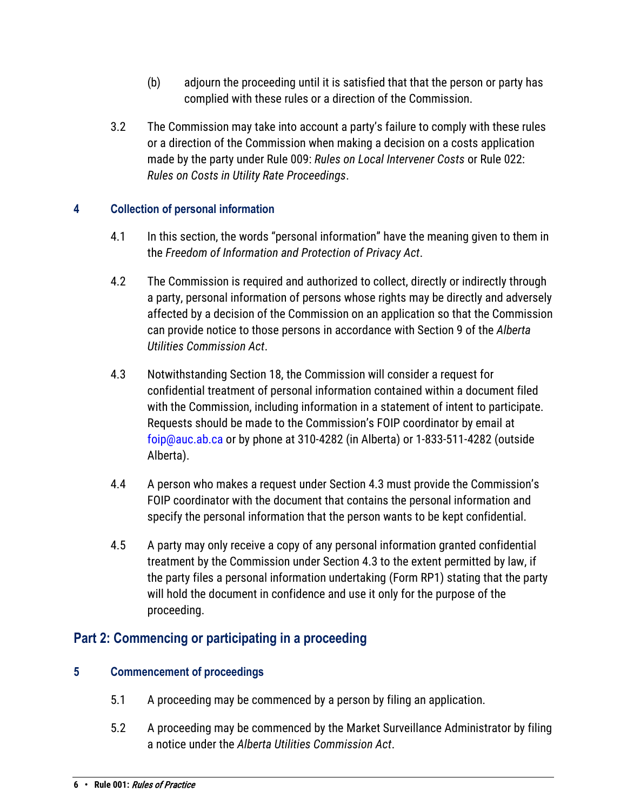- (b) adjourn the proceeding until it is satisfied that that the person or party has complied with these rules or a direction of the Commission.
- 3.2 The Commission may take into account a party's failure to comply with these rules or a direction of the Commission when making a decision on a costs application made by the party under Rule 009: *Rules on Local Intervener Costs* or Rule 022: *Rules on Costs in Utility Rate Proceedings*.

## <span id="page-5-0"></span>**4 Collection of personal information**

- 4.1 In this section, the words "personal information" have the meaning given to them in the *Freedom of Information and Protection of Privacy Act*.
- 4.2 The Commission is required and authorized to collect, directly or indirectly through a party, personal information of persons whose rights may be directly and adversely affected by a decision of the Commission on an application so that the Commission can provide notice to those persons in accordance with Section 9 of the *Alberta Utilities Commission Act*.
- 4.3 Notwithstanding Section 18, the Commission will consider a request for confidential treatment of personal information contained within a document filed with the Commission, including information in a statement of intent to participate. Requests should be made to the Commission's FOIP coordinator by email at [foip@auc.ab.ca](mailto:foip@auc.ab.ca) or by phone at 310-4282 (in Alberta) or 1-833-511-4282 (outside Alberta).
- 4.4 A person who makes a request under Section 4.3 must provide the Commission's FOIP coordinator with the document that contains the personal information and specify the personal information that the person wants to be kept confidential.
- 4.5 A party may only receive a copy of any personal information granted confidential treatment by the Commission under Section 4.3 to the extent permitted by law, if the party files a personal information undertaking (Form RP1) stating that the party will hold the document in confidence and use it only for the purpose of the proceeding.

# <span id="page-5-1"></span>**Part 2: Commencing or participating in a proceeding**

## <span id="page-5-2"></span>**5 Commencement of proceedings**

- 5.1 A proceeding may be commenced by a person by filing an application.
- 5.2 A proceeding may be commenced by the Market Surveillance Administrator by filing a notice under the *Alberta Utilities Commission Act*.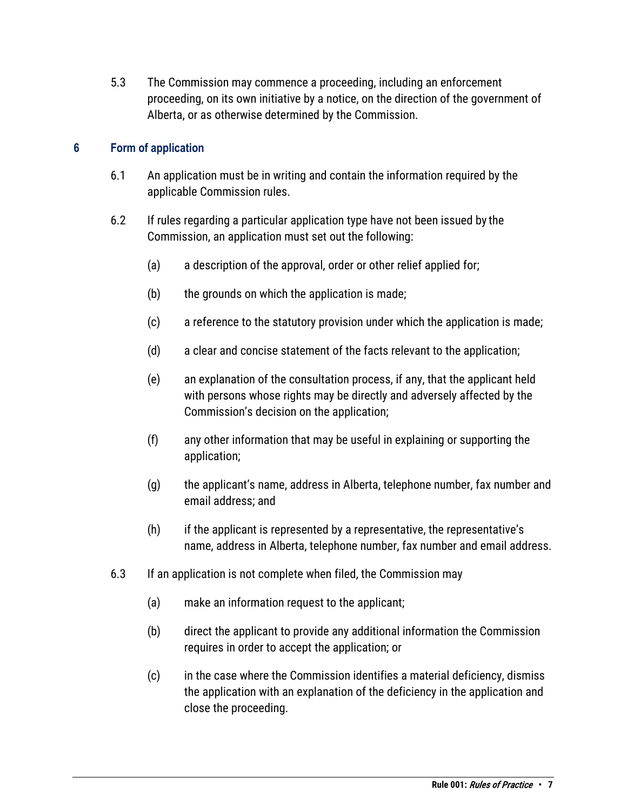5.3 The Commission may commence a proceeding, including an enforcement proceeding, on its own initiative by a notice, on the direction of the government of Alberta, or as otherwise determined by the Commission.

## <span id="page-6-0"></span>**6 Form of application**

- 6.1 An application must be in writing and contain the information required by the applicable Commission rules.
- 6.2 If rules regarding a particular application type have not been issued by the Commission, an application must set out the following:
	- (a) a description of the approval, order or other relief applied for;
	- (b) the grounds on which the application is made;
	- (c) a reference to the statutory provision under which the application is made;
	- (d) a clear and concise statement of the facts relevant to the application;
	- (e) an explanation of the consultation process, if any, that the applicant held with persons whose rights may be directly and adversely affected by the Commission's decision on the application;
	- (f) any other information that may be useful in explaining or supporting the application;
	- (g) the applicant's name, address in Alberta, telephone number, fax number and email address; and
	- (h) if the applicant is represented by a representative, the representative's name, address in Alberta, telephone number, fax number and email address.
- 6.3 If an application is not complete when filed, the Commission may
	- (a) make an information request to the applicant;
	- (b) direct the applicant to provide any additional information the Commission requires in order to accept the application; or
	- (c) in the case where the Commission identifies a material deficiency, dismiss the application with an explanation of the deficiency in the application and close the proceeding.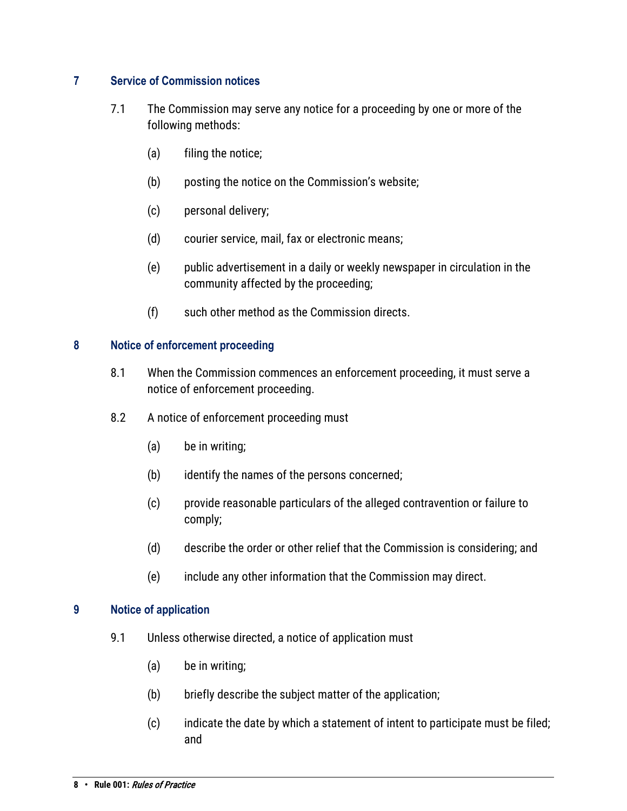## <span id="page-7-0"></span>**7 Service of Commission notices**

- 7.1 The Commission may serve any notice for a proceeding by one or more of the following methods:
	- (a) filing the notice;
	- (b) posting the notice on the Commission's website;
	- (c) personal delivery;
	- (d) courier service, mail, fax or electronic means;
	- (e) public advertisement in a daily or weekly newspaper in circulation in the community affected by the proceeding;
	- (f) such other method as the Commission directs.

## <span id="page-7-1"></span>**8 Notice of enforcement proceeding**

- 8.1 When the Commission commences an enforcement proceeding, it must serve a notice of enforcement proceeding.
- 8.2 A notice of enforcement proceeding must
	- (a) be in writing;
	- (b) identify the names of the persons concerned;
	- (c) provide reasonable particulars of the alleged contravention or failure to comply;
	- (d) describe the order or other relief that the Commission is considering; and
	- (e) include any other information that the Commission may direct.

## <span id="page-7-2"></span>**9 Notice of application**

- 9.1 Unless otherwise directed, a notice of application must
	- (a) be in writing;
	- (b) briefly describe the subject matter of the application;
	- (c) indicate the date by which a statement of intent to participate must be filed; and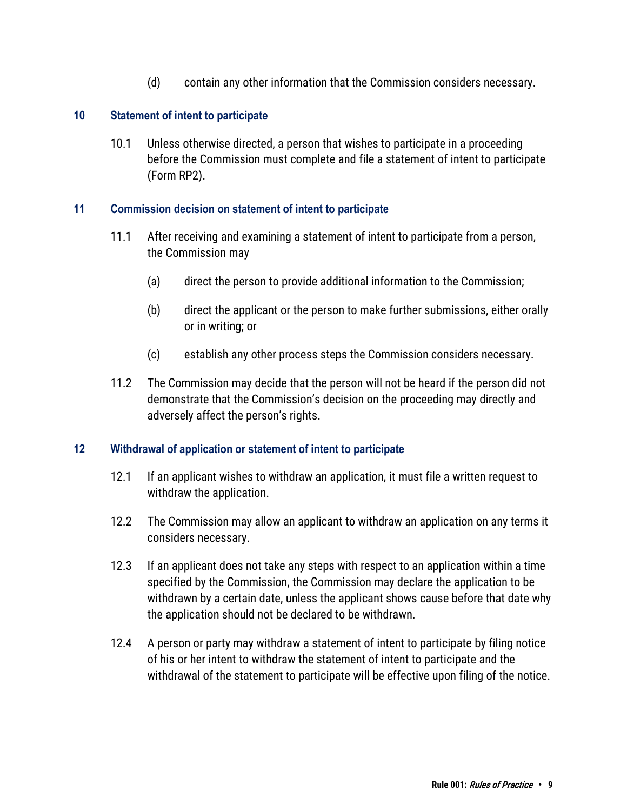(d) contain any other information that the Commission considers necessary.

## <span id="page-8-0"></span>**10 Statement of intent to participate**

10.1 Unless otherwise directed, a person that wishes to participate in a proceeding before the Commission must complete and file a statement of intent to participate (Form RP2).

## <span id="page-8-1"></span>**11 Commission decision on statement of intent to participate**

- 11.1 After receiving and examining a statement of intent to participate from a person, the Commission may
	- (a) direct the person to provide additional information to the Commission;
	- (b) direct the applicant or the person to make further submissions, either orally or in writing; or
	- (c) establish any other process steps the Commission considers necessary.
- 11.2 The Commission may decide that the person will not be heard if the person did not demonstrate that the Commission's decision on the proceeding may directly and adversely affect the person's rights.

## <span id="page-8-2"></span>**12 Withdrawal of application or statement of intent to participate**

- 12.1 If an applicant wishes to withdraw an application, it must file a written request to withdraw the application.
- 12.2 The Commission may allow an applicant to withdraw an application on any terms it considers necessary.
- 12.3 If an applicant does not take any steps with respect to an application within a time specified by the Commission, the Commission may declare the application to be withdrawn by a certain date, unless the applicant shows cause before that date why the application should not be declared to be withdrawn.
- 12.4 A person or party may withdraw a statement of intent to participate by filing notice of his or her intent to withdraw the statement of intent to participate and the withdrawal of the statement to participate will be effective upon filing of the notice.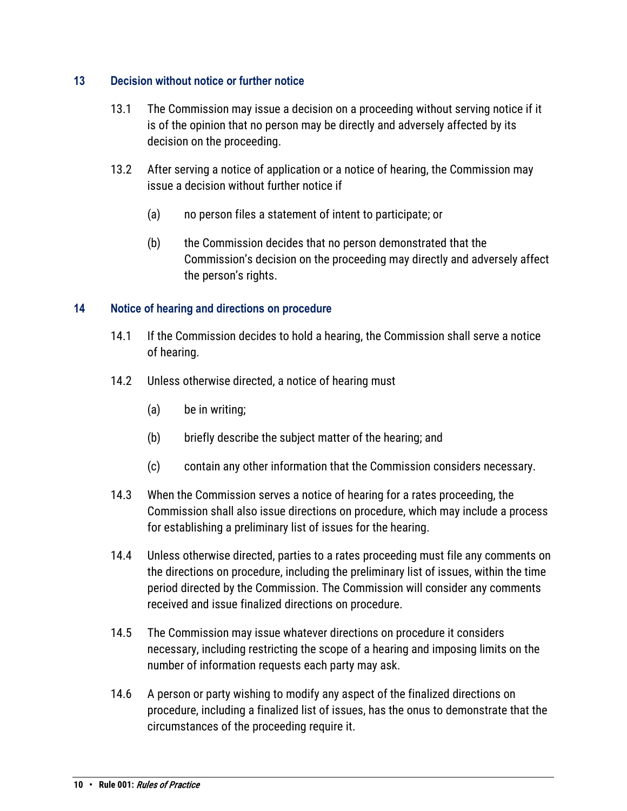## <span id="page-9-0"></span>**13 Decision without notice or further notice**

- 13.1 The Commission may issue a decision on a proceeding without serving notice if it is of the opinion that no person may be directly and adversely affected by its decision on the proceeding.
- 13.2 After serving a notice of application or a notice of hearing, the Commission may issue a decision without further notice if
	- (a) no person files a statement of intent to participate; or
	- (b) the Commission decides that no person demonstrated that the Commission's decision on the proceeding may directly and adversely affect the person's rights.

### <span id="page-9-1"></span>**14 Notice of hearing and directions on procedure**

- 14.1 If the Commission decides to hold a hearing, the Commission shall serve a notice of hearing.
- 14.2 Unless otherwise directed, a notice of hearing must
	- (a) be in writing;
	- (b) briefly describe the subject matter of the hearing; and
	- (c) contain any other information that the Commission considers necessary.
- 14.3 When the Commission serves a notice of hearing for a rates proceeding, the Commission shall also issue directions on procedure, which may include a process for establishing a preliminary list of issues for the hearing.
- 14.4 Unless otherwise directed, parties to a rates proceeding must file any comments on the directions on procedure, including the preliminary list of issues, within the time period directed by the Commission. The Commission will consider any comments received and issue finalized directions on procedure.
- 14.5 The Commission may issue whatever directions on procedure it considers necessary, including restricting the scope of a hearing and imposing limits on the number of information requests each party may ask.
- 14.6 A person or party wishing to modify any aspect of the finalized directions on procedure, including a finalized list of issues, has the onus to demonstrate that the circumstances of the proceeding require it.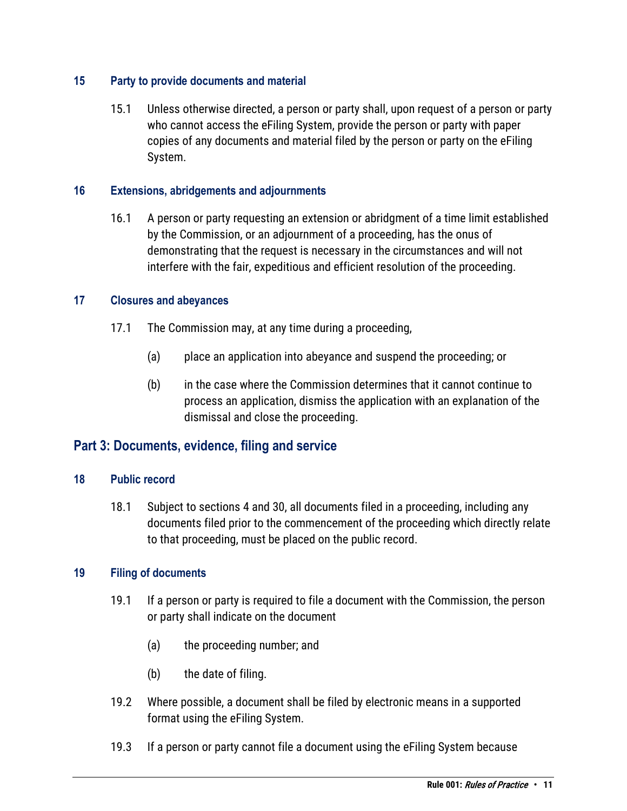## <span id="page-10-0"></span>**15 Party to provide documents and material**

15.1 Unless otherwise directed, a person or party shall, upon request of a person or party who cannot access the eFiling System, provide the person or party with paper copies of any documents and material filed by the person or party on the eFiling System.

## <span id="page-10-1"></span>**16 Extensions, abridgements and adjournments**

16.1 A person or party requesting an extension or abridgment of a time limit established by the Commission, or an adjournment of a proceeding, has the onus of demonstrating that the request is necessary in the circumstances and will not interfere with the fair, expeditious and efficient resolution of the proceeding.

## <span id="page-10-2"></span>**17 Closures and abeyances**

- 17.1 The Commission may, at any time during a proceeding,
	- (a) place an application into abeyance and suspend the proceeding; or
	- (b) in the case where the Commission determines that it cannot continue to process an application, dismiss the application with an explanation of the dismissal and close the proceeding.

## <span id="page-10-3"></span>**Part 3: Documents, evidence, filing and service**

## <span id="page-10-4"></span>**18 Public record**

18.1 Subject to sections 4 and 30, all documents filed in a proceeding, including any documents filed prior to the commencement of the proceeding which directly relate to that proceeding, must be placed on the public record.

## <span id="page-10-5"></span>**19 Filing of documents**

- 19.1 If a person or party is required to file a document with the Commission, the person or party shall indicate on the document
	- (a) the proceeding number; and
	- (b) the date of filing.
- 19.2 Where possible, a document shall be filed by electronic means in a supported format using the eFiling System.
- 19.3 If a person or party cannot file a document using the eFiling System because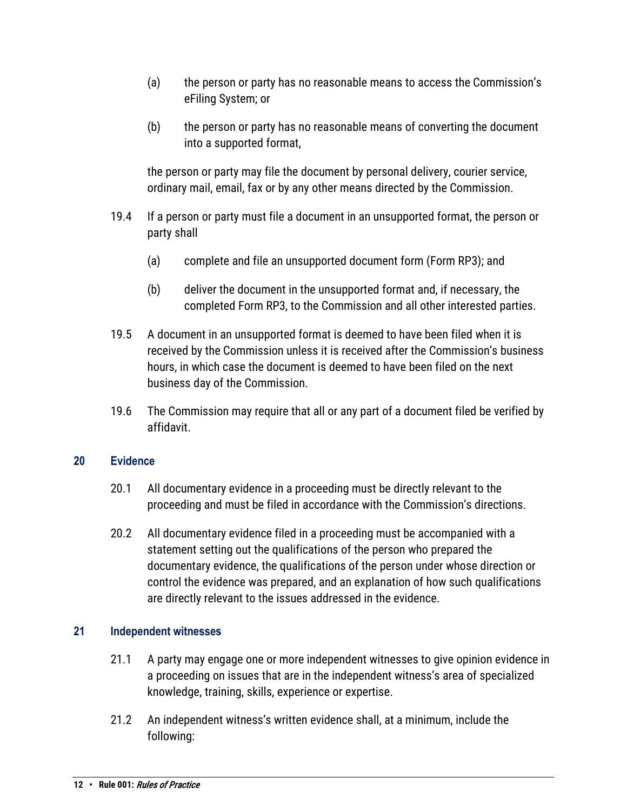- (a) the person or party has no reasonable means to access the Commission's eFiling System; or
- (b) the person or party has no reasonable means of converting the document into a supported format,

the person or party may file the document by personal delivery, courier service, ordinary mail, email, fax or by any other means directed by the Commission.

- 19.4 If a person or party must file a document in an unsupported format, the person or party shall
	- (a) complete and file an unsupported document form (Form RP3); and
	- (b) deliver the document in the unsupported format and, if necessary, the completed Form RP3, to the Commission and all other interested parties.
- 19.5 A document in an unsupported format is deemed to have been filed when it is received by the Commission unless it is received after the Commission's business hours, in which case the document is deemed to have been filed on the next business day of the Commission.
- 19.6 The Commission may require that all or any part of a document filed be verified by affidavit.

## <span id="page-11-0"></span>**20 Evidence**

- 20.1 All documentary evidence in a proceeding must be directly relevant to the proceeding and must be filed in accordance with the Commission's directions.
- 20.2 All documentary evidence filed in a proceeding must be accompanied with a statement setting out the qualifications of the person who prepared the documentary evidence, the qualifications of the person under whose direction or control the evidence was prepared, and an explanation of how such qualifications are directly relevant to the issues addressed in the evidence.

## <span id="page-11-1"></span>**21 Independent witnesses**

- 21.1 A party may engage one or more independent witnesses to give opinion evidence in a proceeding on issues that are in the independent witness's area of specialized knowledge, training, skills, experience or expertise.
- 21.2 An independent witness's written evidence shall, at a minimum, include the following: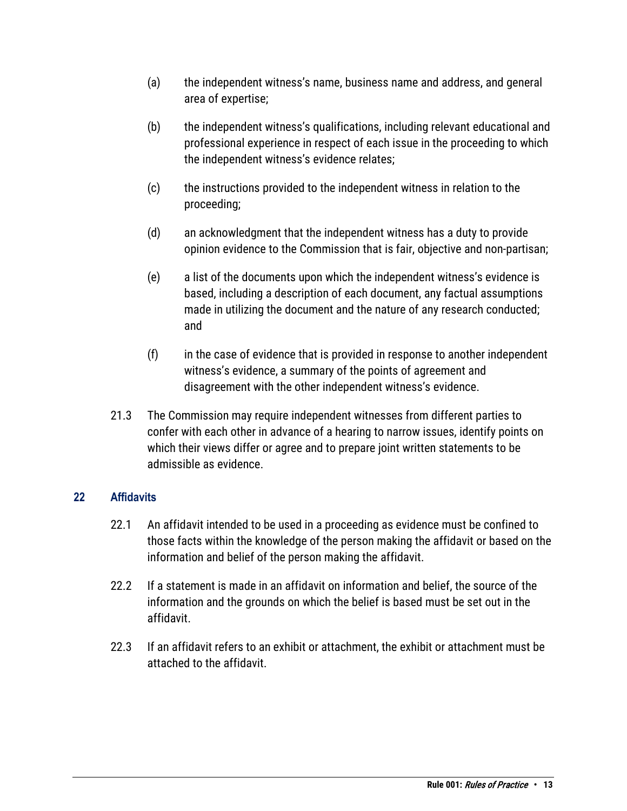- (a) the independent witness's name, business name and address, and general area of expertise;
- (b) the independent witness's qualifications, including relevant educational and professional experience in respect of each issue in the proceeding to which the independent witness's evidence relates;
- (c) the instructions provided to the independent witness in relation to the proceeding;
- (d) an acknowledgment that the independent witness has a duty to provide opinion evidence to the Commission that is fair, objective and non-partisan;
- (e) a list of the documents upon which the independent witness's evidence is based, including a description of each document, any factual assumptions made in utilizing the document and the nature of any research conducted; and
- (f) in the case of evidence that is provided in response to another independent witness's evidence, a summary of the points of agreement and disagreement with the other independent witness's evidence.
- 21.3 The Commission may require independent witnesses from different parties to confer with each other in advance of a hearing to narrow issues, identify points on which their views differ or agree and to prepare joint written statements to be admissible as evidence.

## <span id="page-12-0"></span>**22 Affidavits**

- 22.1 An affidavit intended to be used in a proceeding as evidence must be confined to those facts within the knowledge of the person making the affidavit or based on the information and belief of the person making the affidavit.
- 22.2 If a statement is made in an affidavit on information and belief, the source of the information and the grounds on which the belief is based must be set out in the affidavit.
- 22.3 If an affidavit refers to an exhibit or attachment, the exhibit or attachment must be attached to the affidavit.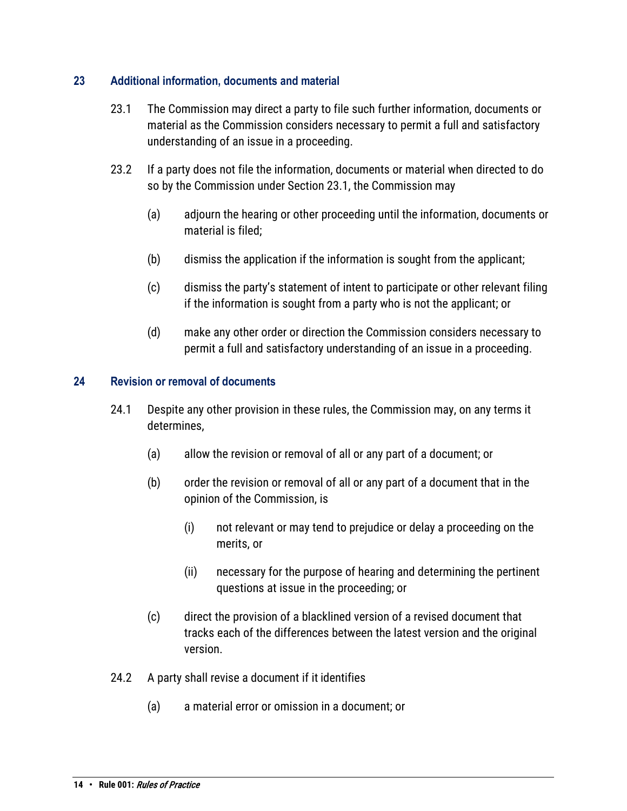## <span id="page-13-0"></span>**23 Additional information, documents and material**

- 23.1 The Commission may direct a party to file such further information, documents or material as the Commission considers necessary to permit a full and satisfactory understanding of an issue in a proceeding.
- 23.2 If a party does not file the information, documents or material when directed to do so by the Commission under Section 23.1, the Commission may
	- (a) adjourn the hearing or other proceeding until the information, documents or material is filed;
	- (b) dismiss the application if the information is sought from the applicant;
	- (c) dismiss the party's statement of intent to participate or other relevant filing if the information is sought from a party who is not the applicant; or
	- (d) make any other order or direction the Commission considers necessary to permit a full and satisfactory understanding of an issue in a proceeding.

## <span id="page-13-1"></span>**24 Revision or removal of documents**

- 24.1 Despite any other provision in these rules, the Commission may, on any terms it determines,
	- (a) allow the revision or removal of all or any part of a document; or
	- (b) order the revision or removal of all or any part of a document that in the opinion of the Commission, is
		- (i) not relevant or may tend to prejudice or delay a proceeding on the merits, or
		- (ii) necessary for the purpose of hearing and determining the pertinent questions at issue in the proceeding; or
	- (c) direct the provision of a blacklined version of a revised document that tracks each of the differences between the latest version and the original version.
- 24.2 A party shall revise a document if it identifies
	- (a) a material error or omission in a document; or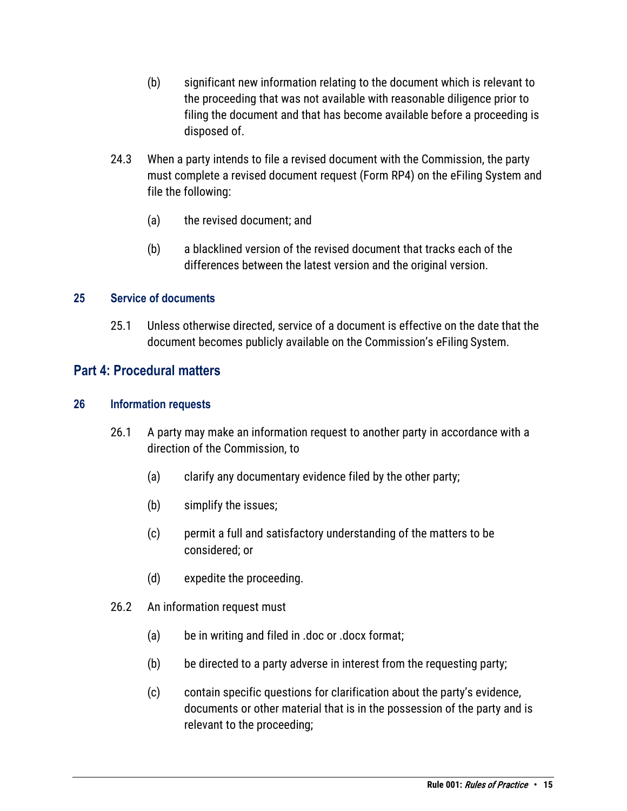- (b) significant new information relating to the document which is relevant to the proceeding that was not available with reasonable diligence prior to filing the document and that has become available before a proceeding is disposed of.
- 24.3 When a party intends to file a revised document with the Commission, the party must complete a revised document request (Form RP4) on the eFiling System and file the following:
	- (a) the revised document; and
	- (b) a blacklined version of the revised document that tracks each of the differences between the latest version and the original version.

### <span id="page-14-0"></span>**25 Service of documents**

25.1 Unless otherwise directed, service of a document is effective on the date that the document becomes publicly available on the Commission's eFiling System.

## <span id="page-14-1"></span>**Part 4: Procedural matters**

#### <span id="page-14-2"></span>**26 Information requests**

- 26.1 A party may make an information request to another party in accordance with a direction of the Commission, to
	- (a) clarify any documentary evidence filed by the other party;
	- (b) simplify the issues;
	- (c) permit a full and satisfactory understanding of the matters to be considered; or
	- (d) expedite the proceeding.
- 26.2 An information request must
	- (a) be in writing and filed in .doc or .docx format;
	- (b) be directed to a party adverse in interest from the requesting party;
	- (c) contain specific questions for clarification about the party's evidence, documents or other material that is in the possession of the party and is relevant to the proceeding;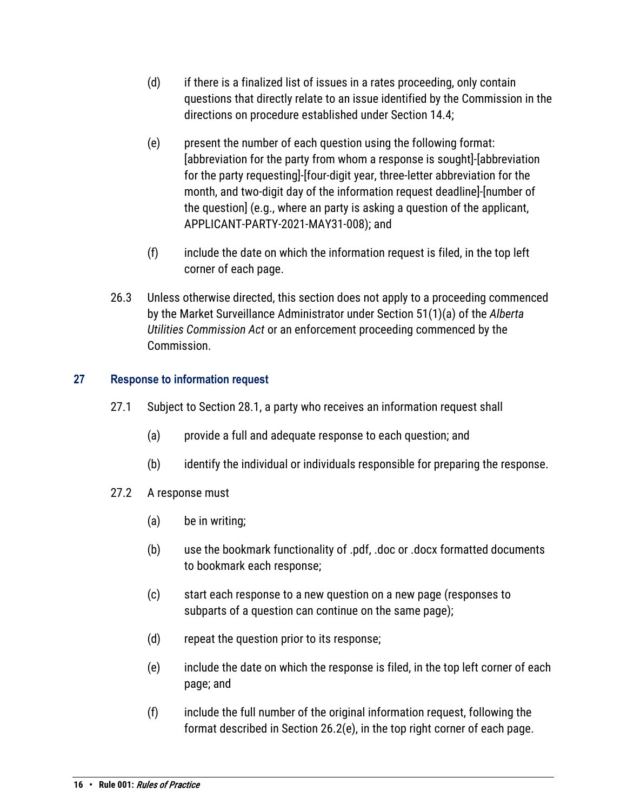- (d) if there is a finalized list of issues in a rates proceeding, only contain questions that directly relate to an issue identified by the Commission in the directions on procedure established under Section 14.4;
- (e) present the number of each question using the following format: [abbreviation for the party from whom a response is sought]-[abbreviation for the party requesting]-[four-digit year, three-letter abbreviation for the month, and two-digit day of the information request deadline]-[number of the question] (e.g., where an party is asking a question of the applicant, APPLICANT-PARTY-2021-MAY31-008); and
- (f) include the date on which the information request is filed, in the top left corner of each page.
- 26.3 Unless otherwise directed, this section does not apply to a proceeding commenced by the Market Surveillance Administrator under Section 51(1)(a) of the *Alberta Utilities Commission Act* or an enforcement proceeding commenced by the Commission.

## <span id="page-15-0"></span>**27 Response to information request**

- 27.1 Subject to Section 28.1, a party who receives an information request shall
	- (a) provide a full and adequate response to each question; and
	- (b) identify the individual or individuals responsible for preparing the response.
- 27.2 A response must
	- (a) be in writing;
	- (b) use the bookmark functionality of .pdf, .doc or .docx formatted documents to bookmark each response;
	- (c) start each response to a new question on a new page (responses to subparts of a question can continue on the same page);
	- (d) repeat the question prior to its response;
	- (e) include the date on which the response is filed, in the top left corner of each page; and
	- (f) include the full number of the original information request, following the format described in Section 26.2(e), in the top right corner of each page.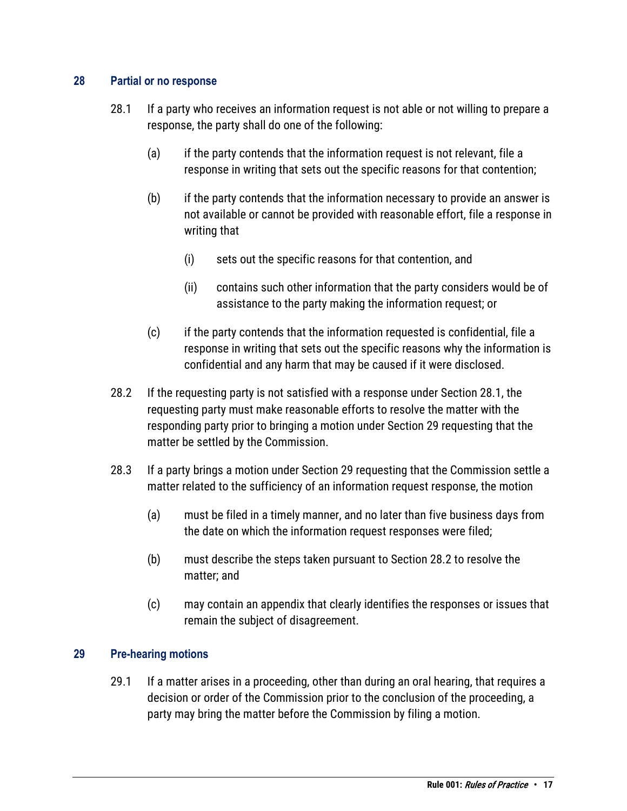## <span id="page-16-0"></span>**28 Partial or no response**

- 28.1 If a party who receives an information request is not able or not willing to prepare a response, the party shall do one of the following:
	- (a) if the party contends that the information request is not relevant, file a response in writing that sets out the specific reasons for that contention;
	- (b) if the party contends that the information necessary to provide an answer is not available or cannot be provided with reasonable effort, file a response in writing that
		- (i) sets out the specific reasons for that contention, and
		- (ii) contains such other information that the party considers would be of assistance to the party making the information request; or
	- (c) if the party contends that the information requested is confidential, file a response in writing that sets out the specific reasons why the information is confidential and any harm that may be caused if it were disclosed.
- 28.2 If the requesting party is not satisfied with a response under Section 28.1, the requesting party must make reasonable efforts to resolve the matter with the responding party prior to bringing a motion under Section 29 requesting that the matter be settled by the Commission.
- 28.3 If a party brings a motion under Section 29 requesting that the Commission settle a matter related to the sufficiency of an information request response, the motion
	- (a) must be filed in a timely manner, and no later than five business days from the date on which the information request responses were filed;
	- (b) must describe the steps taken pursuant to Section 28.2 to resolve the matter; and
	- (c) may contain an appendix that clearly identifies the responses or issues that remain the subject of disagreement.

## <span id="page-16-1"></span>**29 Pre-hearing motions**

29.1 If a matter arises in a proceeding, other than during an oral hearing, that requires a decision or order of the Commission prior to the conclusion of the proceeding, a party may bring the matter before the Commission by filing a motion.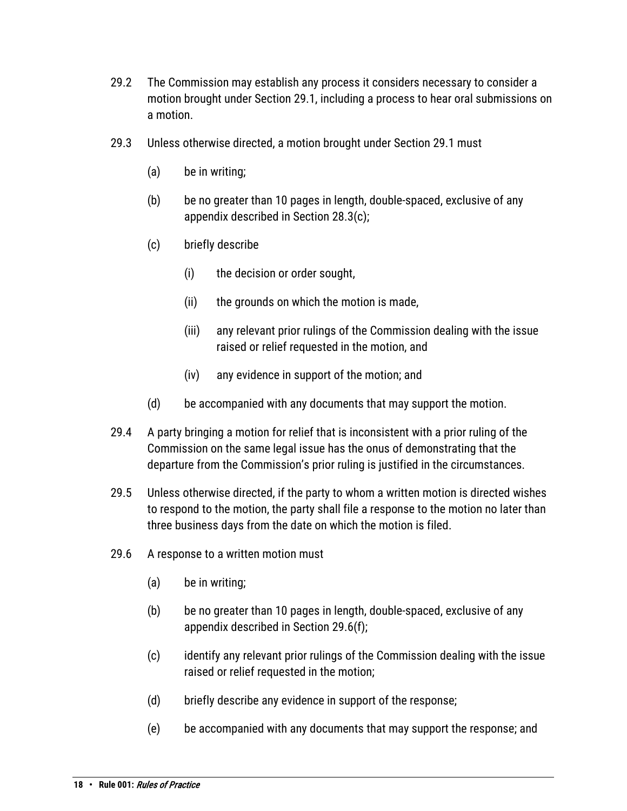- 29.2 The Commission may establish any process it considers necessary to consider a motion brought under Section 29.1, including a process to hear oral submissions on a motion.
- 29.3 Unless otherwise directed, a motion brought under Section 29.1 must
	- (a) be in writing;
	- (b) be no greater than 10 pages in length, double-spaced, exclusive of any appendix described in Section 28.3(c);
	- (c) briefly describe
		- (i) the decision or order sought,
		- (ii) the grounds on which the motion is made,
		- (iii) any relevant prior rulings of the Commission dealing with the issue raised or relief requested in the motion, and
		- (iv) any evidence in support of the motion; and
	- (d) be accompanied with any documents that may support the motion.
- 29.4 A party bringing a motion for relief that is inconsistent with a prior ruling of the Commission on the same legal issue has the onus of demonstrating that the departure from the Commission's prior ruling is justified in the circumstances.
- 29.5 Unless otherwise directed, if the party to whom a written motion is directed wishes to respond to the motion, the party shall file a response to the motion no later than three business days from the date on which the motion is filed.
- 29.6 A response to a written motion must
	- (a) be in writing;
	- (b) be no greater than 10 pages in length, double-spaced, exclusive of any appendix described in Section 29.6(f);
	- (c) identify any relevant prior rulings of the Commission dealing with the issue raised or relief requested in the motion;
	- (d) briefly describe any evidence in support of the response;
	- (e) be accompanied with any documents that may support the response; and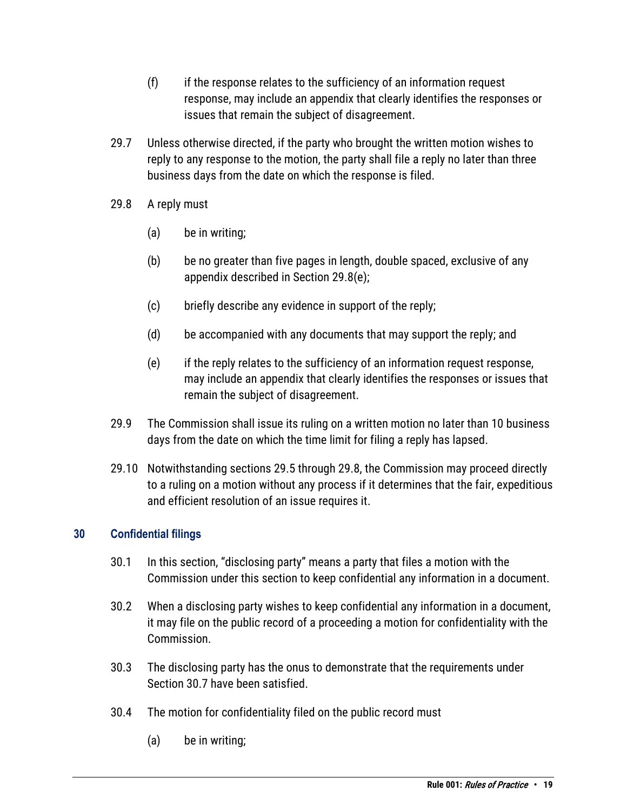- $(f)$  if the response relates to the sufficiency of an information request response, may include an appendix that clearly identifies the responses or issues that remain the subject of disagreement.
- 29.7 Unless otherwise directed, if the party who brought the written motion wishes to reply to any response to the motion, the party shall file a reply no later than three business days from the date on which the response is filed.
- 29.8 A reply must
	- (a) be in writing;
	- (b) be no greater than five pages in length, double spaced, exclusive of any appendix described in Section 29.8(e);
	- (c) briefly describe any evidence in support of the reply;
	- (d) be accompanied with any documents that may support the reply; and
	- (e) if the reply relates to the sufficiency of an information request response, may include an appendix that clearly identifies the responses or issues that remain the subject of disagreement.
- 29.9 The Commission shall issue its ruling on a written motion no later than 10 business days from the date on which the time limit for filing a reply has lapsed.
- 29.10 Notwithstanding sections 29.5 through 29.8, the Commission may proceed directly to a ruling on a motion without any process if it determines that the fair, expeditious and efficient resolution of an issue requires it.

## <span id="page-18-0"></span>**30 Confidential filings**

- 30.1 In this section, "disclosing party" means a party that files a motion with the Commission under this section to keep confidential any information in a document.
- 30.2 When a disclosing party wishes to keep confidential any information in a document, it may file on the public record of a proceeding a motion for confidentiality with the Commission.
- 30.3 The disclosing party has the onus to demonstrate that the requirements under Section 30.7 have been satisfied.
- 30.4 The motion for confidentiality filed on the public record must
	- (a) be in writing;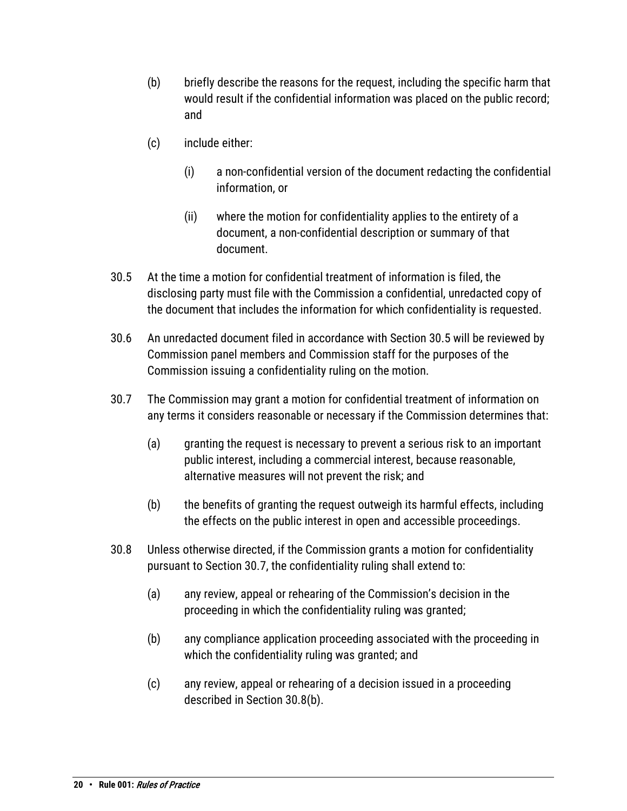- (b) briefly describe the reasons for the request, including the specific harm that would result if the confidential information was placed on the public record; and
- (c) include either:
	- (i) a non-confidential version of the document redacting the confidential information, or
	- (ii) where the motion for confidentiality applies to the entirety of a document, a non-confidential description or summary of that document.
- 30.5 At the time a motion for confidential treatment of information is filed, the disclosing party must file with the Commission a confidential, unredacted copy of the document that includes the information for which confidentiality is requested.
- 30.6 An unredacted document filed in accordance with Section 30.5 will be reviewed by Commission panel members and Commission staff for the purposes of the Commission issuing a confidentiality ruling on the motion.
- 30.7 The Commission may grant a motion for confidential treatment of information on any terms it considers reasonable or necessary if the Commission determines that:
	- (a) granting the request is necessary to prevent a serious risk to an important public interest, including a commercial interest, because reasonable, alternative measures will not prevent the risk; and
	- (b) the benefits of granting the request outweigh its harmful effects, including the effects on the public interest in open and accessible proceedings.
- 30.8 Unless otherwise directed, if the Commission grants a motion for confidentiality pursuant to Section 30.7, the confidentiality ruling shall extend to:
	- (a) any review, appeal or rehearing of the Commission's decision in the proceeding in which the confidentiality ruling was granted;
	- (b) any compliance application proceeding associated with the proceeding in which the confidentiality ruling was granted; and
	- (c) any review, appeal or rehearing of a decision issued in a proceeding described in Section 30.8(b).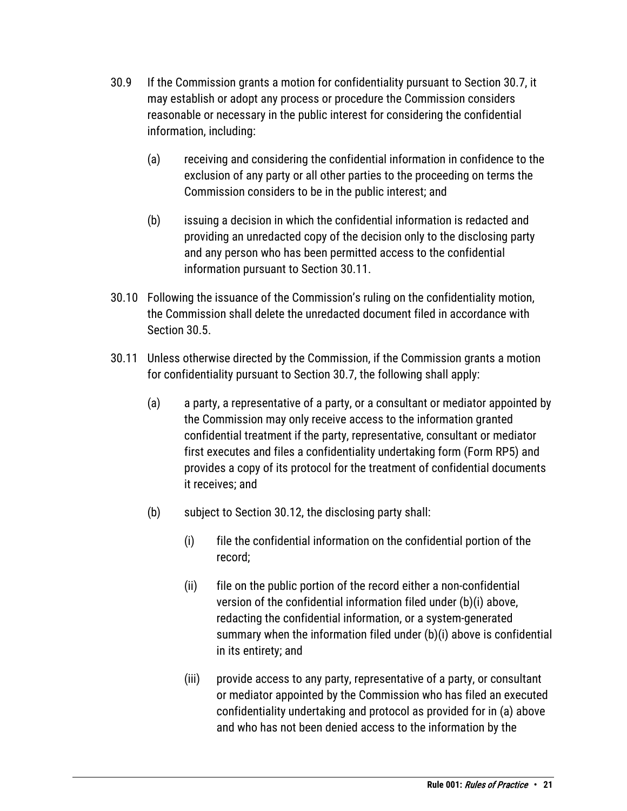- 30.9 If the Commission grants a motion for confidentiality pursuant to Section 30.7, it may establish or adopt any process or procedure the Commission considers reasonable or necessary in the public interest for considering the confidential information, including:
	- (a) receiving and considering the confidential information in confidence to the exclusion of any party or all other parties to the proceeding on terms the Commission considers to be in the public interest; and
	- (b) issuing a decision in which the confidential information is redacted and providing an unredacted copy of the decision only to the disclosing party and any person who has been permitted access to the confidential information pursuant to Section 30.11.
- 30.10 Following the issuance of the Commission's ruling on the confidentiality motion, the Commission shall delete the unredacted document filed in accordance with Section 30.5.
- 30.11 Unless otherwise directed by the Commission, if the Commission grants a motion for confidentiality pursuant to Section 30.7, the following shall apply:
	- (a) a party, a representative of a party, or a consultant or mediator appointed by the Commission may only receive access to the information granted confidential treatment if the party, representative, consultant or mediator first executes and files a confidentiality undertaking form (Form RP5) and provides a copy of its protocol for the treatment of confidential documents it receives; and
	- (b) subject to Section 30.12, the disclosing party shall:
		- (i) file the confidential information on the confidential portion of the record;
		- (ii) file on the public portion of the record either a non-confidential version of the confidential information filed under (b)(i) above, redacting the confidential information, or a system-generated summary when the information filed under (b)(i) above is confidential in its entirety; and
		- (iii) provide access to any party, representative of a party, or consultant or mediator appointed by the Commission who has filed an executed confidentiality undertaking and protocol as provided for in (a) above and who has not been denied access to the information by the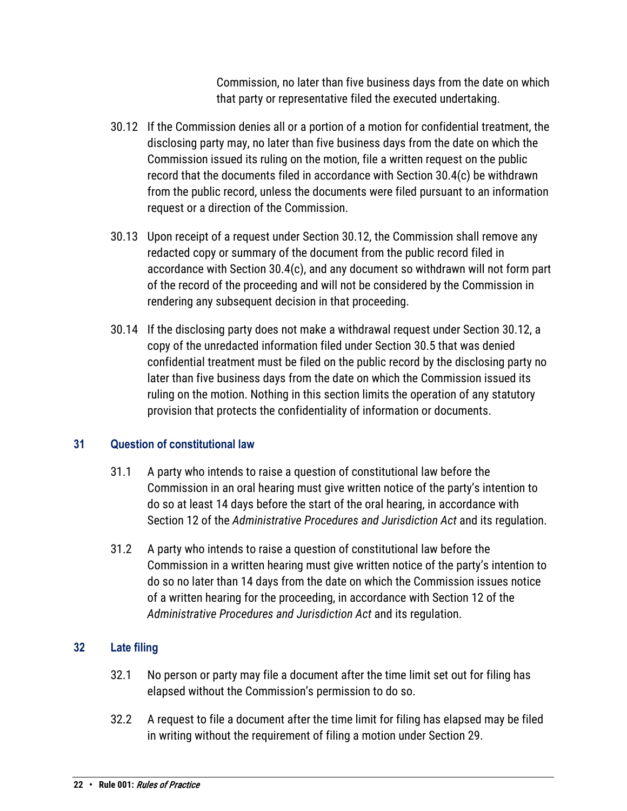Commission, no later than five business days from the date on which that party or representative filed the executed undertaking.

- 30.12 If the Commission denies all or a portion of a motion for confidential treatment, the disclosing party may, no later than five business days from the date on which the Commission issued its ruling on the motion, file a written request on the public record that the documents filed in accordance with Section 30.4(c) be withdrawn from the public record, unless the documents were filed pursuant to an information request or a direction of the Commission.
- 30.13 Upon receipt of a request under Section 30.12, the Commission shall remove any redacted copy or summary of the document from the public record filed in accordance with Section 30.4(c), and any document so withdrawn will not form part of the record of the proceeding and will not be considered by the Commission in rendering any subsequent decision in that proceeding.
- 30.14 If the disclosing party does not make a withdrawal request under Section 30.12, a copy of the unredacted information filed under Section 30.5 that was denied confidential treatment must be filed on the public record by the disclosing party no later than five business days from the date on which the Commission issued its ruling on the motion. Nothing in this section limits the operation of any statutory provision that protects the confidentiality of information or documents.

## <span id="page-21-0"></span>**31 Question of constitutional law**

- 31.1 A party who intends to raise a question of constitutional law before the Commission in an oral hearing must give written notice of the party's intention to do so at least 14 days before the start of the oral hearing, in accordance with Section 12 of the *Administrative Procedures and Jurisdiction Act* and its regulation.
- 31.2 A party who intends to raise a question of constitutional law before the Commission in a written hearing must give written notice of the party's intention to do so no later than 14 days from the date on which the Commission issues notice of a written hearing for the proceeding, in accordance with Section 12 of the *Administrative Procedures and Jurisdiction Act* and its regulation.

## <span id="page-21-1"></span>**32 Late filing**

- 32.1 No person or party may file a document after the time limit set out for filing has elapsed without the Commission's permission to do so.
- 32.2 A request to file a document after the time limit for filing has elapsed may be filed in writing without the requirement of filing a motion under Section 29.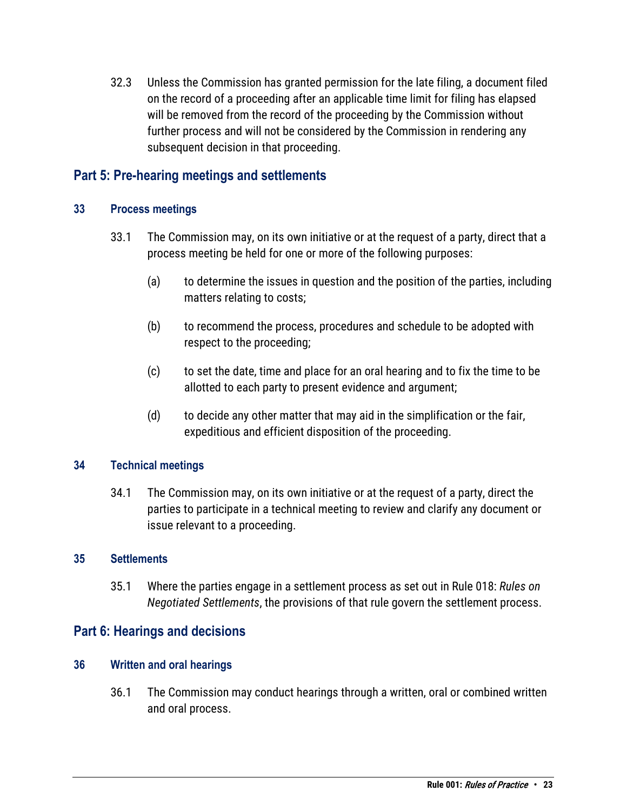32.3 Unless the Commission has granted permission for the late filing, a document filed on the record of a proceeding after an applicable time limit for filing has elapsed will be removed from the record of the proceeding by the Commission without further process and will not be considered by the Commission in rendering any subsequent decision in that proceeding.

## <span id="page-22-0"></span>**Part 5: Pre-hearing meetings and settlements**

### <span id="page-22-1"></span>**33 Process meetings**

- 33.1 The Commission may, on its own initiative or at the request of a party, direct that a process meeting be held for one or more of the following purposes:
	- (a) to determine the issues in question and the position of the parties, including matters relating to costs;
	- (b) to recommend the process, procedures and schedule to be adopted with respect to the proceeding;
	- (c) to set the date, time and place for an oral hearing and to fix the time to be allotted to each party to present evidence and argument;
	- (d) to decide any other matter that may aid in the simplification or the fair, expeditious and efficient disposition of the proceeding.

### <span id="page-22-2"></span>**34 Technical meetings**

34.1 The Commission may, on its own initiative or at the request of a party, direct the parties to participate in a technical meeting to review and clarify any document or issue relevant to a proceeding.

#### <span id="page-22-3"></span>**35 Settlements**

35.1 Where the parties engage in a settlement process as set out in Rule 018: *Rules on Negotiated Settlements*, the provisions of that rule govern the settlement process.

## <span id="page-22-4"></span>**Part 6: Hearings and decisions**

## <span id="page-22-5"></span>**36 Written and oral hearings**

36.1 The Commission may conduct hearings through a written, oral or combined written and oral process.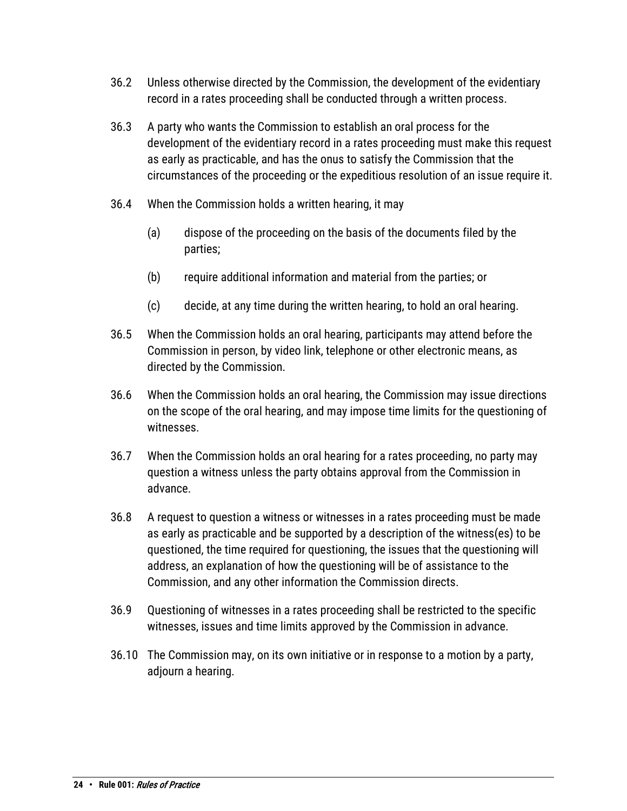- 36.2 Unless otherwise directed by the Commission, the development of the evidentiary record in a rates proceeding shall be conducted through a written process.
- 36.3 A party who wants the Commission to establish an oral process for the development of the evidentiary record in a rates proceeding must make this request as early as practicable, and has the onus to satisfy the Commission that the circumstances of the proceeding or the expeditious resolution of an issue require it.
- 36.4 When the Commission holds a written hearing, it may
	- (a) dispose of the proceeding on the basis of the documents filed by the parties;
	- (b) require additional information and material from the parties; or
	- (c) decide, at any time during the written hearing, to hold an oral hearing.
- 36.5 When the Commission holds an oral hearing, participants may attend before the Commission in person, by video link, telephone or other electronic means, as directed by the Commission.
- 36.6 When the Commission holds an oral hearing, the Commission may issue directions on the scope of the oral hearing, and may impose time limits for the questioning of witnesses.
- 36.7 When the Commission holds an oral hearing for a rates proceeding, no party may question a witness unless the party obtains approval from the Commission in advance.
- 36.8 A request to question a witness or witnesses in a rates proceeding must be made as early as practicable and be supported by a description of the witness(es) to be questioned, the time required for questioning, the issues that the questioning will address, an explanation of how the questioning will be of assistance to the Commission, and any other information the Commission directs.
- 36.9 Questioning of witnesses in a rates proceeding shall be restricted to the specific witnesses, issues and time limits approved by the Commission in advance.
- 36.10 The Commission may, on its own initiative or in response to a motion by a party, adjourn a hearing.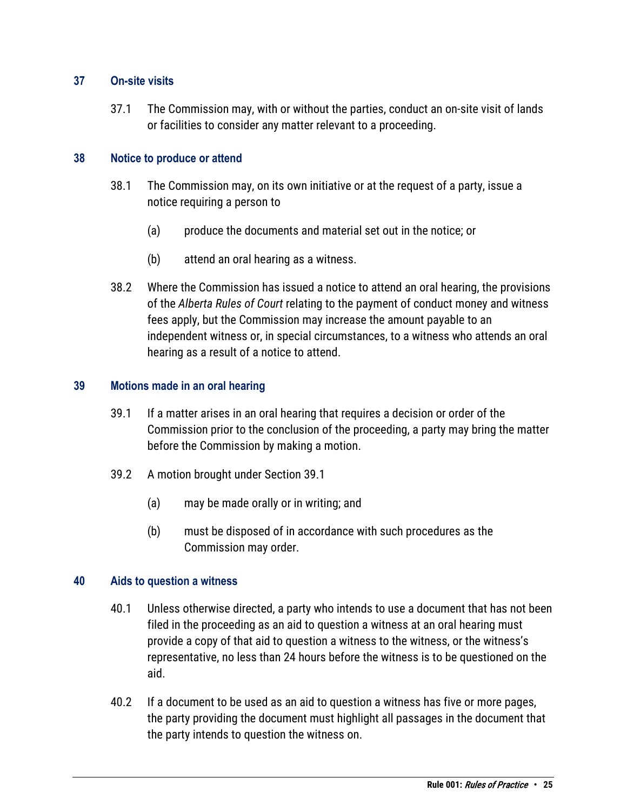### <span id="page-24-0"></span>**37 On-site visits**

37.1 The Commission may, with or without the parties, conduct an on-site visit of lands or facilities to consider any matter relevant to a proceeding.

### <span id="page-24-1"></span>**38 Notice to produce or attend**

- 38.1 The Commission may, on its own initiative or at the request of a party, issue a notice requiring a person to
	- (a) produce the documents and material set out in the notice; or
	- (b) attend an oral hearing as a witness.
- 38.2 Where the Commission has issued a notice to attend an oral hearing, the provisions of the *Alberta Rules of Court* relating to the payment of conduct money and witness fees apply, but the Commission may increase the amount payable to an independent witness or, in special circumstances, to a witness who attends an oral hearing as a result of a notice to attend.

### <span id="page-24-2"></span>**39 Motions made in an oral hearing**

- 39.1 If a matter arises in an oral hearing that requires a decision or order of the Commission prior to the conclusion of the proceeding, a party may bring the matter before the Commission by making a motion.
- 39.2 A motion brought under Section 39.1
	- (a) may be made orally or in writing; and
	- (b) must be disposed of in accordance with such procedures as the Commission may order.

### <span id="page-24-3"></span>**40 Aids to question a witness**

- 40.1 Unless otherwise directed, a party who intends to use a document that has not been filed in the proceeding as an aid to question a witness at an oral hearing must provide a copy of that aid to question a witness to the witness, or the witness's representative, no less than 24 hours before the witness is to be questioned on the aid.
- 40.2 If a document to be used as an aid to question a witness has five or more pages, the party providing the document must highlight all passages in the document that the party intends to question the witness on.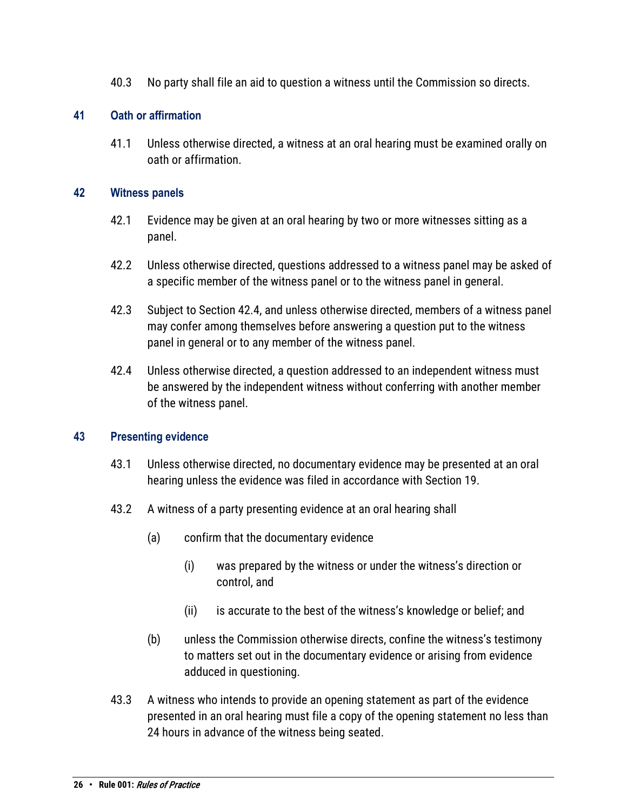40.3 No party shall file an aid to question a witness until the Commission so directs.

## <span id="page-25-0"></span>**41 Oath or affirmation**

41.1 Unless otherwise directed, a witness at an oral hearing must be examined orally on oath or affirmation.

## <span id="page-25-1"></span>**42 Witness panels**

- 42.1 Evidence may be given at an oral hearing by two or more witnesses sitting as a panel.
- 42.2 Unless otherwise directed, questions addressed to a witness panel may be asked of a specific member of the witness panel or to the witness panel in general.
- 42.3 Subject to Section 42.4, and unless otherwise directed, members of a witness panel may confer among themselves before answering a question put to the witness panel in general or to any member of the witness panel.
- 42.4 Unless otherwise directed, a question addressed to an independent witness must be answered by the independent witness without conferring with another member of the witness panel.

## <span id="page-25-2"></span>**43 Presenting evidence**

- 43.1 Unless otherwise directed, no documentary evidence may be presented at an oral hearing unless the evidence was filed in accordance with Section 19.
- 43.2 A witness of a party presenting evidence at an oral hearing shall
	- (a) confirm that the documentary evidence
		- (i) was prepared by the witness or under the witness's direction or control, and
		- (ii) is accurate to the best of the witness's knowledge or belief; and
	- (b) unless the Commission otherwise directs, confine the witness's testimony to matters set out in the documentary evidence or arising from evidence adduced in questioning.
- 43.3 A witness who intends to provide an opening statement as part of the evidence presented in an oral hearing must file a copy of the opening statement no less than 24 hours in advance of the witness being seated.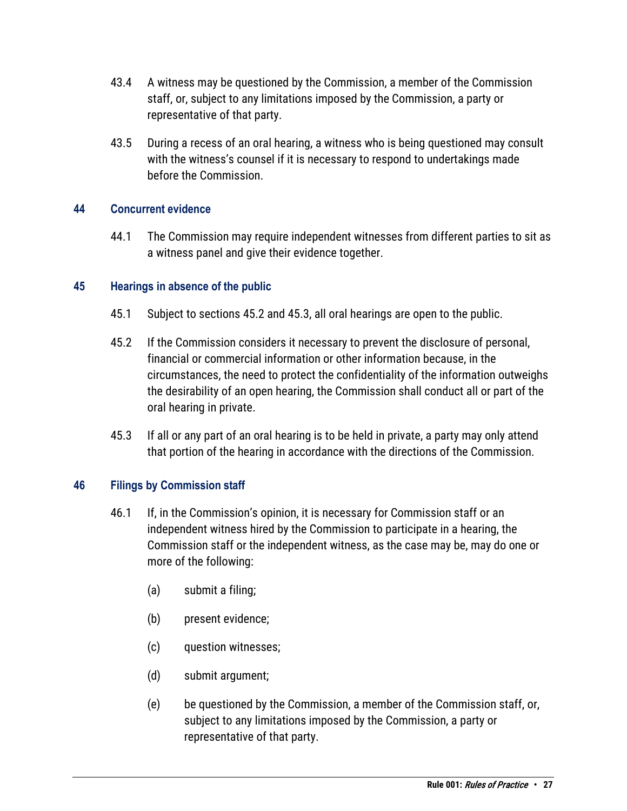- 43.4 A witness may be questioned by the Commission, a member of the Commission staff, or, subject to any limitations imposed by the Commission, a party or representative of that party.
- 43.5 During a recess of an oral hearing, a witness who is being questioned may consult with the witness's counsel if it is necessary to respond to undertakings made before the Commission.

### <span id="page-26-0"></span>**44 Concurrent evidence**

44.1 The Commission may require independent witnesses from different parties to sit as a witness panel and give their evidence together.

### <span id="page-26-1"></span>**45 Hearings in absence of the public**

- 45.1 Subject to sections 45.2 and 45.3, all oral hearings are open to the public.
- 45.2 If the Commission considers it necessary to prevent the disclosure of personal, financial or commercial information or other information because, in the circumstances, the need to protect the confidentiality of the information outweighs the desirability of an open hearing, the Commission shall conduct all or part of the oral hearing in private.
- 45.3 If all or any part of an oral hearing is to be held in private, a party may only attend that portion of the hearing in accordance with the directions of the Commission.

#### <span id="page-26-2"></span>**46 Filings by Commission staff**

- 46.1 If, in the Commission's opinion, it is necessary for Commission staff or an independent witness hired by the Commission to participate in a hearing, the Commission staff or the independent witness, as the case may be, may do one or more of the following:
	- (a) submit a filing;
	- (b) present evidence;
	- (c) question witnesses;
	- (d) submit argument;
	- (e) be questioned by the Commission, a member of the Commission staff, or, subject to any limitations imposed by the Commission, a party or representative of that party.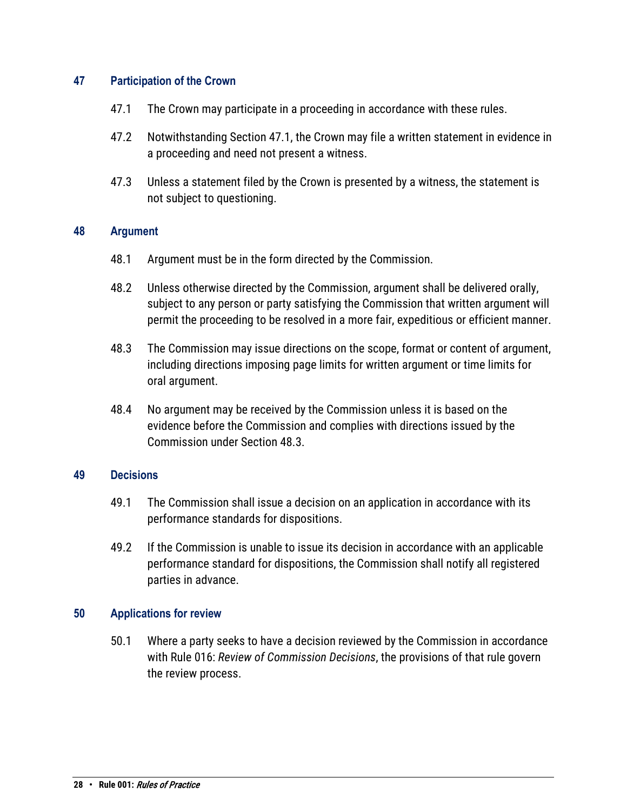### <span id="page-27-0"></span>**47 Participation of the Crown**

- 47.1 The Crown may participate in a proceeding in accordance with these rules.
- 47.2 Notwithstanding Section 47.1, the Crown may file a written statement in evidence in a proceeding and need not present a witness.
- 47.3 Unless a statement filed by the Crown is presented by a witness, the statement is not subject to questioning.

#### <span id="page-27-1"></span>**48 Argument**

- 48.1 Argument must be in the form directed by the Commission.
- 48.2 Unless otherwise directed by the Commission, argument shall be delivered orally, subject to any person or party satisfying the Commission that written argument will permit the proceeding to be resolved in a more fair, expeditious or efficient manner.
- 48.3 The Commission may issue directions on the scope, format or content of argument, including directions imposing page limits for written argument or time limits for oral argument.
- 48.4 No argument may be received by the Commission unless it is based on the evidence before the Commission and complies with directions issued by the Commission under Section 48.3.

#### <span id="page-27-2"></span>**49 Decisions**

- 49.1 The Commission shall issue a decision on an application in accordance with its performance standards for dispositions.
- 49.2 If the Commission is unable to issue its decision in accordance with an applicable performance standard for dispositions, the Commission shall notify all registered parties in advance.

#### <span id="page-27-3"></span>**50 Applications for review**

50.1 Where a party seeks to have a decision reviewed by the Commission in accordance with Rule 016: *Review of Commission Decisions*, the provisions of that rule govern the review process.